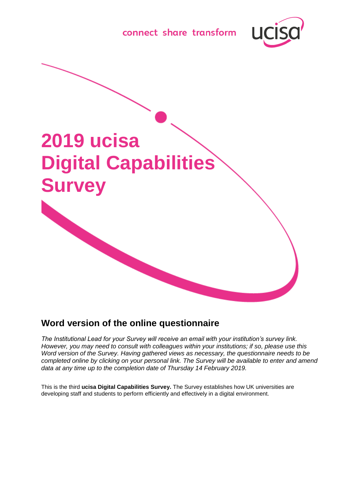





# **Word version of the online questionnaire**

*The Institutional Lead for your Survey will receive an email with your institution's survey link. However, you may need to consult with colleagues within your institutions; if so, please use this Word version of the Survey. Having gathered views as necessary, the questionnaire needs to be completed online by clicking on your personal link. The Survey will be available to enter and amend data at any time up to the completion date of Thursday 14 February 2019.*

This is the third **ucisa Digital Capabilities Survey.** The Survey establishes how UK universities are developing staff and students to perform efficiently and effectively in a digital environment.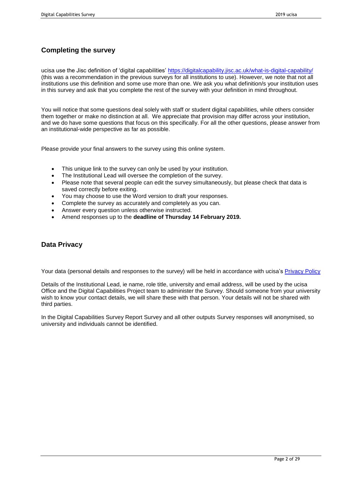# **Completing the survey**

ucisa use the Jisc definition of 'digital capabilities' <https://digitalcapability.jisc.ac.uk/what-is-digital-capability/> (this was a recommendation in the previous surveys for all institutions to use). However, we note that not all institutions use this definition and some use more than one. We ask you what definition/s your institution uses in this survey and ask that you complete the rest of the survey with your definition in mind throughout.

You will notice that some questions deal solely with staff or student digital capabilities, while others consider them together or make no distinction at all. We appreciate that provision may differ across your institution, and we do have some questions that focus on this specifically. For all the other questions, please answer from an institutional-wide perspective as far as possible.

Please provide your final answers to the survey using this online system.

- This unique link to the survey can only be used by your institution.
- The Institutional Lead will oversee the completion of the survey.
- Please note that several people can edit the survey simultaneously, but please check that data is saved correctly before exiting.
- You may choose to use the Word version to draft your responses.
- Complete the survey as accurately and completely as you can.
- Answer every question unless otherwise instructed.
- Amend responses up to the **deadline of Thursday 14 February 2019.**

### **Data Privacy**

Your data (personal details and responses to the survey) will be held in accordance with ucisa's [Privacy Policy](http://www.ucisa.ac.uk/privacy)

Details of the Institutional Lead, ie name, role title, university and email address, will be used by the ucisa Office and the Digital Capabilities Project team to administer the Survey. Should someone from your university wish to know your contact details, we will share these with that person. Your details will not be shared with third parties.

In the Digital Capabilities Survey Report Survey and all other outputs Survey responses will anonymised, so university and individuals cannot be identified.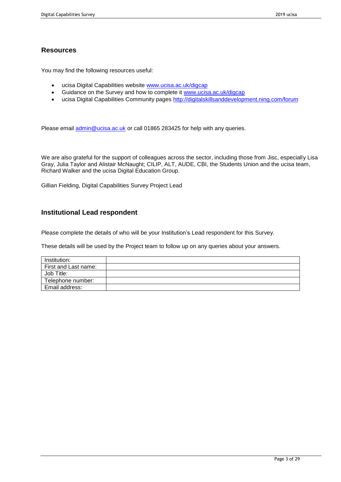### **Resources**

You may find the following resources useful:

- ucisa Digital Capabilities website [www.ucisa.ac.uk/digcap](http://www.ucisa.ac.uk/digcap)
- Guidance on the Survey and how to complete it [www.ucisa.ac.uk/digcap](http://www.ucisa.ac.uk/digcap)
- ucisa Digital Capabilities Community pages<http://digitalskillsanddevelopment.ning.com/forum>

Please email [admin@ucisa.ac.uk](mailto:admin@ucisa.ac.uk) or call 01865 283425 for help with any queries.

We are also grateful for the support of colleagues across the sector, including those from Jisc, especially Lisa Gray, Julia Taylor and Alistair McNaught; CILIP, ALT, AUDE, CBI, the Students Union and the ucisa team, Richard Walker and the ucisa Digital Education Group.

Gillian Fielding, Digital Capabilities Survey Project Lead

### **Institutional Lead respondent**

Please complete the details of who will be your Institution's Lead respondent for this Survey.

These details will be used by the Project team to follow up on any queries about your answers.

| Institution:         |  |
|----------------------|--|
| First and Last name: |  |
| Job Title:           |  |
| Telephone number:    |  |
| Email address:       |  |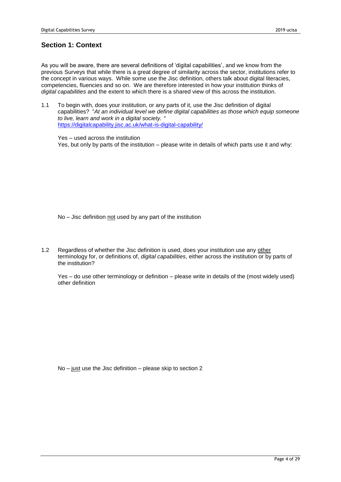# **Section 1: Context**

As you will be aware, there are several definitions of 'digital capabilities', and we know from the previous Surveys that while there is a great degree of similarity across the sector, institutions refer to the concept in various ways. While some use the Jisc definition, others talk about digital literacies, competencies, fluencies and so on. We are therefore interested in how your institution thinks of *digital capabilities* and the extent to which there is a shared view of this across the institution.

1.1 To begin with, does your institution, or any parts of it, use the Jisc definition of digital capabilities? "*At an individual level we define digital capabilities as those which equip someone to live, learn and work in a digital society. "* <https://digitalcapability.jisc.ac.uk/what-is-digital-capability/>

Yes – used across the institution Yes, but only by parts of the institution – please write in details of which parts use it and why:

No – Jisc definition not used by any part of the institution

1.2 Regardless of whether the Jisc definition is used, does your institution use any other terminology for, or definitions of, *digital capabilities*, either across the institution or by parts of the institution?

Yes – do use other terminology or definition – please write in details of the (most widely used) other definition

No – just use the Jisc definition – please skip to section 2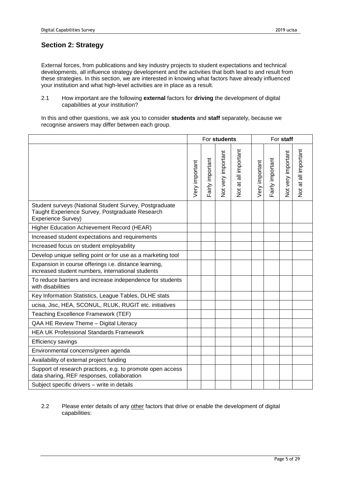# **Section 2: Strategy**

External forces, from publications and key industry projects to student expectations and technical developments, all influence strategy development and the activities that both lead to and result from these strategies. In this section, we are interested in knowing what factors have already influenced your institution and what high-level activities are in place as a result.

2.1 How important are the following **external** factors for **driving** the development of digital capabilities at your institution?

In this and other questions, we ask you to consider **students** and **staff** separately, because we recognise answers may differ between each group.

|                                                                                                                                 | For students   |                  |                    |                      | For staff      |                  |                    |                      |
|---------------------------------------------------------------------------------------------------------------------------------|----------------|------------------|--------------------|----------------------|----------------|------------------|--------------------|----------------------|
|                                                                                                                                 | Very important | Fairly important | Not very important | Not at all important | Very important | Fairly important | Not very important | Not at all important |
| Student surveys (National Student Survey, Postgraduate<br>Taught Experience Survey, Postgraduate Research<br>Experience Survey) |                |                  |                    |                      |                |                  |                    |                      |
| Higher Education Achievement Record (HEAR)                                                                                      |                |                  |                    |                      |                |                  |                    |                      |
| Increased student expectations and requirements                                                                                 |                |                  |                    |                      |                |                  |                    |                      |
| Increased focus on student employability                                                                                        |                |                  |                    |                      |                |                  |                    |                      |
| Develop unique selling point or for use as a marketing tool                                                                     |                |                  |                    |                      |                |                  |                    |                      |
| Expansion in course offerings i.e. distance learning,<br>increased student numbers, international students                      |                |                  |                    |                      |                |                  |                    |                      |
| To reduce barriers and increase independence for students<br>with disabilities                                                  |                |                  |                    |                      |                |                  |                    |                      |
| Key Information Statistics, League Tables, DLHE stats                                                                           |                |                  |                    |                      |                |                  |                    |                      |
| ucisa, Jisc, HEA, SCONUL, RLUK, RUGIT etc. initiatives                                                                          |                |                  |                    |                      |                |                  |                    |                      |
| Teaching Excellence Framework (TEF)                                                                                             |                |                  |                    |                      |                |                  |                    |                      |
| QAA HE Review Theme - Digital Literacy                                                                                          |                |                  |                    |                      |                |                  |                    |                      |
| <b>HEA UK Professional Standards Framework</b>                                                                                  |                |                  |                    |                      |                |                  |                    |                      |
| Efficiency savings                                                                                                              |                |                  |                    |                      |                |                  |                    |                      |
| Environmental concerns/green agenda                                                                                             |                |                  |                    |                      |                |                  |                    |                      |
| Availability of external project funding                                                                                        |                |                  |                    |                      |                |                  |                    |                      |
| Support of research practices, e.g. to promote open access<br>data sharing, REF responses, collaboration                        |                |                  |                    |                      |                |                  |                    |                      |
| Subject specific drivers - write in details                                                                                     |                |                  |                    |                      |                |                  |                    |                      |

### 2.2 Please enter details of any other factors that drive or enable the development of digital capabilities: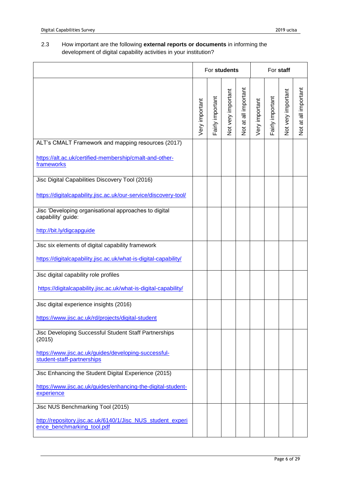### 2.3 How important are the following **external reports or documents** in informing the development of digital capability activities in your institution?

|                                                                                           | For students   |                  |                    |                      | For staff      |                  |                    |                      |  |
|-------------------------------------------------------------------------------------------|----------------|------------------|--------------------|----------------------|----------------|------------------|--------------------|----------------------|--|
|                                                                                           | Very important | Fairly important | Not very important | Not at all important | Very important | Fairly important | Not very important | Not at all important |  |
| ALT's CMALT Framework and mapping resources (2017)                                        |                |                  |                    |                      |                |                  |                    |                      |  |
| https://alt.ac.uk/certified-membership/cmalt-and-other-<br>frameworks                     |                |                  |                    |                      |                |                  |                    |                      |  |
| Jisc Digital Capabilities Discovery Tool (2016)                                           |                |                  |                    |                      |                |                  |                    |                      |  |
| https://digitalcapability.jisc.ac.uk/our-service/discovery-tool/                          |                |                  |                    |                      |                |                  |                    |                      |  |
| Jisc 'Developing organisational approaches to digital<br>capability' guide:               |                |                  |                    |                      |                |                  |                    |                      |  |
| http://bit.ly/digcapguide                                                                 |                |                  |                    |                      |                |                  |                    |                      |  |
| Jisc six elements of digital capability framework                                         |                |                  |                    |                      |                |                  |                    |                      |  |
| https://digitalcapability.jisc.ac.uk/what-is-digital-capability/                          |                |                  |                    |                      |                |                  |                    |                      |  |
| Jisc digital capability role profiles                                                     |                |                  |                    |                      |                |                  |                    |                      |  |
| https://digitalcapability.jisc.ac.uk/what-is-digital-capability/                          |                |                  |                    |                      |                |                  |                    |                      |  |
| Jisc digital experience insights (2016)                                                   |                |                  |                    |                      |                |                  |                    |                      |  |
| https://www.jisc.ac.uk/rd/projects/digital-student                                        |                |                  |                    |                      |                |                  |                    |                      |  |
| Jisc Developing Successful Student Staff Partnerships<br>(2015)                           |                |                  |                    |                      |                |                  |                    |                      |  |
| https://www.jisc.ac.uk/guides/developing-successful-<br>student-staff-partnerships        |                |                  |                    |                      |                |                  |                    |                      |  |
| Jisc Enhancing the Student Digital Experience (2015)                                      |                |                  |                    |                      |                |                  |                    |                      |  |
| https://www.jisc.ac.uk/guides/enhancing-the-digital-student-<br>experience                |                |                  |                    |                      |                |                  |                    |                      |  |
| Jisc NUS Benchmarking Tool (2015)                                                         |                |                  |                    |                      |                |                  |                    |                      |  |
| http://repository.jisc.ac.uk/6140/1/Jisc_NUS_student_experi<br>ence_benchmarking_tool.pdf |                |                  |                    |                      |                |                  |                    |                      |  |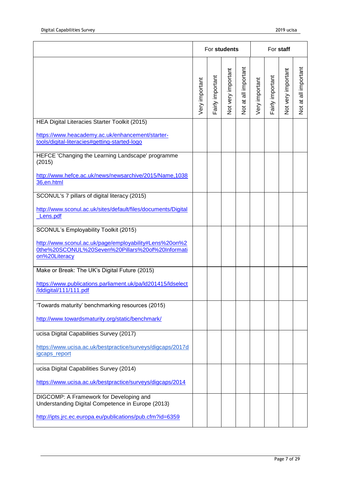|                                                                                                                             | For students   |                  |                           |                      |                | For staff        |                    |                      |  |
|-----------------------------------------------------------------------------------------------------------------------------|----------------|------------------|---------------------------|----------------------|----------------|------------------|--------------------|----------------------|--|
|                                                                                                                             | Very important | Fairly important | <b>Vot very important</b> | Not at all important | Very important | Fairly important | Not very important | Not at all important |  |
| HEA Digital Literacies Starter Toolkit (2015)                                                                               |                |                  |                           |                      |                |                  |                    |                      |  |
| https://www.heacademy.ac.uk/enhancement/starter-<br>tools/digital-literacies#getting-started-logo                           |                |                  |                           |                      |                |                  |                    |                      |  |
| HEFCE 'Changing the Learning Landscape' programme<br>(2015)                                                                 |                |                  |                           |                      |                |                  |                    |                      |  |
| http://www.hefce.ac.uk/news/newsarchive/2015/Name,1038<br>36,en.html                                                        |                |                  |                           |                      |                |                  |                    |                      |  |
| SCONUL's 7 pillars of digital literacy (2015)                                                                               |                |                  |                           |                      |                |                  |                    |                      |  |
| http://www.sconul.ac.uk/sites/default/files/documents/Digital<br>Lens.pdf                                                   |                |                  |                           |                      |                |                  |                    |                      |  |
| SCONUL's Employability Toolkit (2015)                                                                                       |                |                  |                           |                      |                |                  |                    |                      |  |
| http://www.sconul.ac.uk/page/employability#Lens%20on%2<br>0the%20SCONUL%20Seven%20Pillars%20of%20Informati<br>on%20Literacy |                |                  |                           |                      |                |                  |                    |                      |  |
| Make or Break: The UK's Digital Future (2015)                                                                               |                |                  |                           |                      |                |                  |                    |                      |  |
| https://www.publications.parliament.uk/pa/ld201415/ldselect<br>/Iddigital/111/111.pdf                                       |                |                  |                           |                      |                |                  |                    |                      |  |
| 'Towards maturity' benchmarking resources (2015)                                                                            |                |                  |                           |                      |                |                  |                    |                      |  |
| http://www.towardsmaturity.org/static/benchmark/                                                                            |                |                  |                           |                      |                |                  |                    |                      |  |
| ucisa Digital Capabilities Survey (2017)                                                                                    |                |                  |                           |                      |                |                  |                    |                      |  |
| https://www.ucisa.ac.uk/bestpractice/surveys/digcaps/2017d<br>igcaps_report                                                 |                |                  |                           |                      |                |                  |                    |                      |  |
| ucisa Digital Capabilities Survey (2014)                                                                                    |                |                  |                           |                      |                |                  |                    |                      |  |
| https://www.ucisa.ac.uk/bestpractice/surveys/digcaps/2014                                                                   |                |                  |                           |                      |                |                  |                    |                      |  |
| DIGCOMP: A Framework for Developing and<br>Understanding Digital Competence in Europe (2013)                                |                |                  |                           |                      |                |                  |                    |                      |  |
| http://ipts.jrc.ec.europa.eu/publications/pub.cfm?id=6359                                                                   |                |                  |                           |                      |                |                  |                    |                      |  |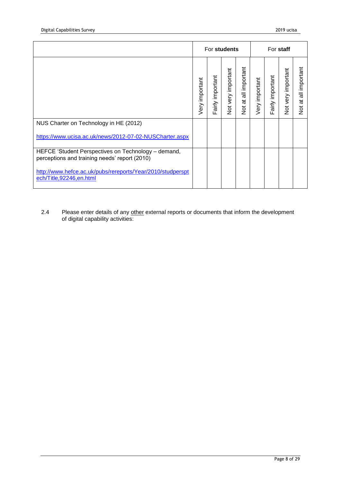|                                                                                                      | For students   |                  |                       |                                                  | For staff      |                  |                       |                                             |  |
|------------------------------------------------------------------------------------------------------|----------------|------------------|-----------------------|--------------------------------------------------|----------------|------------------|-----------------------|---------------------------------------------|--|
|                                                                                                      | Very important | Fairly important | important<br>Not very | all important<br>$\overline{a}$<br>$\frac{5}{2}$ | Very important | Fairly important | important<br>Not very | all important<br>$\vec{a}$<br>$\frac{5}{2}$ |  |
| NUS Charter on Technology in HE (2012)                                                               |                |                  |                       |                                                  |                |                  |                       |                                             |  |
| https://www.ucisa.ac.uk/news/2012-07-02-NUSCharter.aspx                                              |                |                  |                       |                                                  |                |                  |                       |                                             |  |
| HEFCE 'Student Perspectives on Technology - demand,<br>perceptions and training needs' report (2010) |                |                  |                       |                                                  |                |                  |                       |                                             |  |
| http://www.hefce.ac.uk/pubs/rereports/Year/2010/studperspt<br>ech/Title,92246,en.html                |                |                  |                       |                                                  |                |                  |                       |                                             |  |

2.4 Please enter details of any other external reports or documents that inform the development of digital capability activities: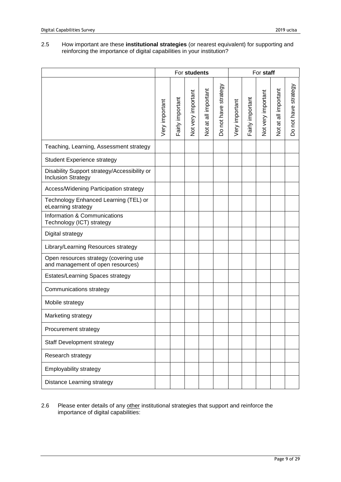#### 2.5 How important are these **institutional strategies** (or nearest equivalent) for supporting and reinforcing the importance of digital capabilities in your institution?

|                                                                            | For students   |                  |                    |                      |                      | For staff      |                  |                    |                      |                      |
|----------------------------------------------------------------------------|----------------|------------------|--------------------|----------------------|----------------------|----------------|------------------|--------------------|----------------------|----------------------|
|                                                                            | Very important | Fairly important | Not very important | Not at all important | Do not have strategy | Very important | Fairly important | Not very important | Not at all important | Do not have strategy |
| Teaching, Learning, Assessment strategy                                    |                |                  |                    |                      |                      |                |                  |                    |                      |                      |
| <b>Student Experience strategy</b>                                         |                |                  |                    |                      |                      |                |                  |                    |                      |                      |
| Disability Support strategy/Accessibility or<br><b>Inclusion Strategy</b>  |                |                  |                    |                      |                      |                |                  |                    |                      |                      |
| Access/Widening Participation strategy                                     |                |                  |                    |                      |                      |                |                  |                    |                      |                      |
| Technology Enhanced Learning (TEL) or<br>eLearning strategy                |                |                  |                    |                      |                      |                |                  |                    |                      |                      |
| Information & Communications<br>Technology (ICT) strategy                  |                |                  |                    |                      |                      |                |                  |                    |                      |                      |
| Digital strategy                                                           |                |                  |                    |                      |                      |                |                  |                    |                      |                      |
| Library/Learning Resources strategy                                        |                |                  |                    |                      |                      |                |                  |                    |                      |                      |
| Open resources strategy (covering use<br>and management of open resources) |                |                  |                    |                      |                      |                |                  |                    |                      |                      |
| Estates/Learning Spaces strategy                                           |                |                  |                    |                      |                      |                |                  |                    |                      |                      |
| Communications strategy                                                    |                |                  |                    |                      |                      |                |                  |                    |                      |                      |
| Mobile strategy                                                            |                |                  |                    |                      |                      |                |                  |                    |                      |                      |
| Marketing strategy                                                         |                |                  |                    |                      |                      |                |                  |                    |                      |                      |
| Procurement strategy                                                       |                |                  |                    |                      |                      |                |                  |                    |                      |                      |
| <b>Staff Development strategy</b>                                          |                |                  |                    |                      |                      |                |                  |                    |                      |                      |
| Research strategy                                                          |                |                  |                    |                      |                      |                |                  |                    |                      |                      |
| Employability strategy                                                     |                |                  |                    |                      |                      |                |                  |                    |                      |                      |
| Distance Learning strategy                                                 |                |                  |                    |                      |                      |                |                  |                    |                      |                      |

#### 2.6 Please enter details of any other institutional strategies that support and reinforce the importance of digital capabilities: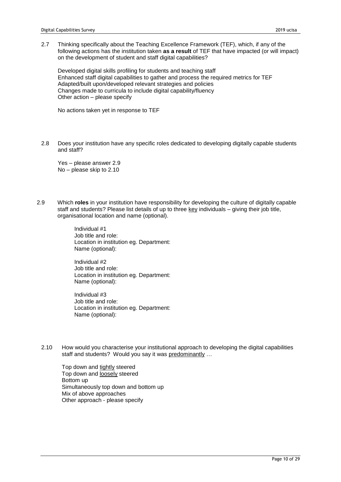2.7 Thinking specifically about the Teaching Excellence Framework (TEF), which, if any of the following actions has the institution taken **as a result** of TEF that have impacted (or will impact) on the development of student and staff digital capabilities?

Developed digital skills profiling for students and teaching staff Enhanced staff digital capabilities to gather and process the required metrics for TEF Adapted/built upon/developed relevant strategies and policies Changes made to curricula to include digital capability/fluency Other action – please specify

No actions taken yet in response to TEF

2.8 Does your institution have any specific roles dedicated to developing digitally capable students and staff?

Yes – please answer 2.9 No – please skip to 2.10

2.9 Which **roles** in your institution have responsibility for developing the culture of digitally capable staff and students? Please list details of up to three key individuals – giving their job title, organisational location and name (optional).

> Individual #1 Job title and role: Location in institution eg. Department: Name (optional):

> Individual #2 Job title and role: Location in institution eg. Department: Name (optional):

> Individual #3 Job title and role: Location in institution eg. Department: Name (optional):

2.10 How would you characterise your institutional approach to developing the digital capabilities staff and students? Would you say it was predominantly …

Top down and tightly steered Top down and loosely steered Bottom up Simultaneously top down and bottom up Mix of above approaches Other approach - please specify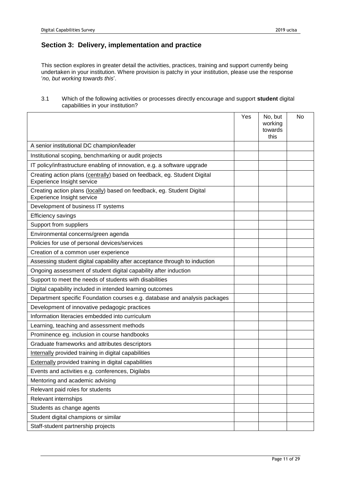# **Section 3: Delivery, implementation and practice**

This section explores in greater detail the activities, practices, training and support currently being undertaken in your institution. Where provision is patchy in your institution, please use the response '*no, but working towards this*'.

#### 3.1 Which of the following activities or processes directly encourage and support **student** digital capabilities in your institution?

|                                                                                                        | Yes | No, but<br>working<br>towards<br>this | No |
|--------------------------------------------------------------------------------------------------------|-----|---------------------------------------|----|
| A senior institutional DC champion/leader                                                              |     |                                       |    |
| Institutional scoping, benchmarking or audit projects                                                  |     |                                       |    |
| IT policy/infrastructure enabling of innovation, e.g. a software upgrade                               |     |                                       |    |
| Creating action plans (centrally) based on feedback, eg. Student Digital<br>Experience Insight service |     |                                       |    |
| Creating action plans (locally) based on feedback, eg. Student Digital<br>Experience Insight service   |     |                                       |    |
| Development of business IT systems                                                                     |     |                                       |    |
| Efficiency savings                                                                                     |     |                                       |    |
| Support from suppliers                                                                                 |     |                                       |    |
| Environmental concerns/green agenda                                                                    |     |                                       |    |
| Policies for use of personal devices/services                                                          |     |                                       |    |
| Creation of a common user experience                                                                   |     |                                       |    |
| Assessing student digital capability after acceptance through to induction                             |     |                                       |    |
| Ongoing assessment of student digital capability after induction                                       |     |                                       |    |
| Support to meet the needs of students with disabilities                                                |     |                                       |    |
| Digital capability included in intended learning outcomes                                              |     |                                       |    |
| Department specific Foundation courses e.g. database and analysis packages                             |     |                                       |    |
| Development of innovative pedagogic practices                                                          |     |                                       |    |
| Information literacies embedded into curriculum                                                        |     |                                       |    |
| Learning, teaching and assessment methods                                                              |     |                                       |    |
| Prominence eg. inclusion in course handbooks                                                           |     |                                       |    |
| Graduate frameworks and attributes descriptors                                                         |     |                                       |    |
| Internally provided training in digital capabilities                                                   |     |                                       |    |
| <b>Externally provided training in digital capabilities</b>                                            |     |                                       |    |
| Events and activities e.g. conferences, Digilabs                                                       |     |                                       |    |
| Mentoring and academic advising                                                                        |     |                                       |    |
| Relevant paid roles for students                                                                       |     |                                       |    |
| Relevant internships                                                                                   |     |                                       |    |
| Students as change agents                                                                              |     |                                       |    |
| Student digital champions or similar                                                                   |     |                                       |    |
| Staff-student partnership projects                                                                     |     |                                       |    |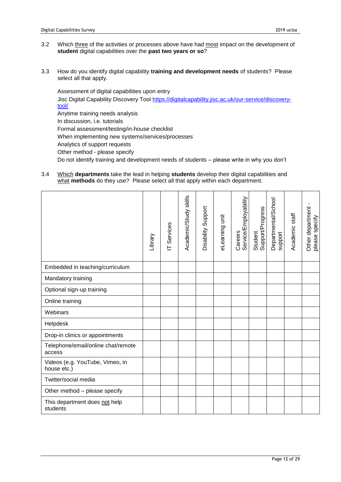- 3.2 Which three of the activities or processes above have had most impact on the development of **student** digital capabilities over the **past two years or so**?
- 3.3 How do you identify digital capability **training and development needs** of students? Please select all that apply.

Assessment of digital capabilities upon entry Jisc Digital Capability Discovery Tool [https://digitalcapability.jisc.ac.uk/our-service/discovery](https://digitalcapability.jisc.ac.uk/our-service/discovery-tool/)[tool/](https://digitalcapability.jisc.ac.uk/our-service/discovery-tool/) Anytime training needs analysis In discussion, i.e. tutorials Formal assessment/testing/in-house checklist When implementing new systems/services/processes Analytics of support requests Other method - please specify Do not identify training and development needs of students – please write in why you don't

3.4 Which **departments** take the lead in helping **students** develop their digital capabilities and what **methods** do they use? Please select all that apply within each department.

|                                                | Library | T Services | Academic/Study skills | Disability Support | eLearning unit | Careers<br>Service/Employability | Student<br>Support/Progress | Departmental/School<br>support | Academic staff | ×<br>Other department<br>please specify |
|------------------------------------------------|---------|------------|-----------------------|--------------------|----------------|----------------------------------|-----------------------------|--------------------------------|----------------|-----------------------------------------|
| Embedded in teaching/curriculum                |         |            |                       |                    |                |                                  |                             |                                |                |                                         |
| Mandatory training                             |         |            |                       |                    |                |                                  |                             |                                |                |                                         |
| Optional sign-up training                      |         |            |                       |                    |                |                                  |                             |                                |                |                                         |
| Online training                                |         |            |                       |                    |                |                                  |                             |                                |                |                                         |
| Webinars                                       |         |            |                       |                    |                |                                  |                             |                                |                |                                         |
| Helpdesk                                       |         |            |                       |                    |                |                                  |                             |                                |                |                                         |
| Drop-in clinics or appointments                |         |            |                       |                    |                |                                  |                             |                                |                |                                         |
| Telephone/email/online chat/remote<br>access   |         |            |                       |                    |                |                                  |                             |                                |                |                                         |
| Videos (e.g. YouTube, Vimeo, in<br>house etc.) |         |            |                       |                    |                |                                  |                             |                                |                |                                         |
| Twitter/social media                           |         |            |                       |                    |                |                                  |                             |                                |                |                                         |
| Other method - please specify                  |         |            |                       |                    |                |                                  |                             |                                |                |                                         |
| This department does not help<br>students      |         |            |                       |                    |                |                                  |                             |                                |                |                                         |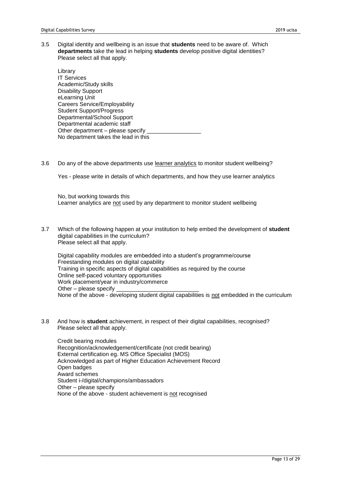3.5 Digital identity and wellbeing is an issue that **students** need to be aware of. Which **departments** take the lead in helping **students** develop positive digital identities? Please select all that apply.

Library IT Services Academic/Study skills Disability Support eLearning Unit Careers Service/Employability Student Support/Progress Departmental/School Support Departmental academic staff Other department – please specify No department takes the lead in this

3.6 Do any of the above departments use learner analytics to monitor student wellbeing?

Yes - please write in details of which departments, and how they use learner analytics

No, but working towards this Learner analytics are not used by any department to monitor student wellbeing

3.7 Which of the following happen at your institution to help embed the development of **student** digital capabilities in the curriculum? Please select all that apply.

Digital capability modules are embedded into a student's programme/course Freestanding modules on digital capability Training in specific aspects of digital capabilities as required by the course Online self-paced voluntary opportunities Work placement/year in industry/commerce Other – please specify None of the above - developing student digital capabilities is not embedded in the curriculum

3.8 And how is **student** achievement, in respect of their digital capabilities, recognised? Please select all that apply.

Credit bearing modules Recognition/acknowledgement/certificate (not credit bearing) External certification eg. MS Office Specialist (MOS) Acknowledged as part of Higher Education Achievement Record Open badges Award schemes Student i-/digital/champions/ambassadors Other – please specify None of the above - student achievement is not recognised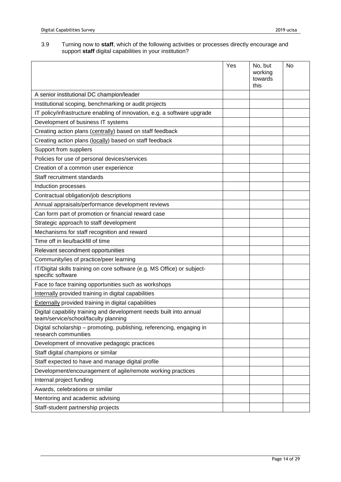#### 3.9 Turning now to **staff**, which of the following activities or processes directly encourage and support **staff** digital capabilities in your institution?

|                                                                                                             | Yes | No, but<br>working<br>towards<br>this | No |
|-------------------------------------------------------------------------------------------------------------|-----|---------------------------------------|----|
| A senior institutional DC champion/leader                                                                   |     |                                       |    |
| Institutional scoping, benchmarking or audit projects                                                       |     |                                       |    |
| IT policy/infrastructure enabling of innovation, e.g. a software upgrade                                    |     |                                       |    |
| Development of business IT systems                                                                          |     |                                       |    |
| Creating action plans (centrally) based on staff feedback                                                   |     |                                       |    |
| Creating action plans (locally) based on staff feedback                                                     |     |                                       |    |
| Support from suppliers                                                                                      |     |                                       |    |
| Policies for use of personal devices/services                                                               |     |                                       |    |
| Creation of a common user experience                                                                        |     |                                       |    |
| Staff recruitment standards                                                                                 |     |                                       |    |
| Induction processes                                                                                         |     |                                       |    |
| Contractual obligation/job descriptions                                                                     |     |                                       |    |
| Annual appraisals/performance development reviews                                                           |     |                                       |    |
| Can form part of promotion or financial reward case                                                         |     |                                       |    |
| Strategic approach to staff development                                                                     |     |                                       |    |
| Mechanisms for staff recognition and reward                                                                 |     |                                       |    |
| Time off in lieu/backfill of time                                                                           |     |                                       |    |
| Relevant secondment opportunities                                                                           |     |                                       |    |
| Community/ies of practice/peer learning                                                                     |     |                                       |    |
| IT/Digital skills training on core software (e.g. MS Office) or subject-<br>specific software               |     |                                       |    |
| Face to face training opportunities such as workshops                                                       |     |                                       |    |
| Internally provided training in digital capabilities                                                        |     |                                       |    |
| <b>Externally provided training in digital capabilities</b>                                                 |     |                                       |    |
| Digital capability training and development needs built into annual<br>team/service/school/faculty planning |     |                                       |    |
| Digital scholarship - promoting, publishing, referencing, engaging in<br>research communities               |     |                                       |    |
| Development of innovative pedagogic practices                                                               |     |                                       |    |
| Staff digital champions or similar                                                                          |     |                                       |    |
| Staff expected to have and manage digital profile                                                           |     |                                       |    |
| Development/encouragement of agile/remote working practices                                                 |     |                                       |    |
| Internal project funding                                                                                    |     |                                       |    |
| Awards, celebrations or similar                                                                             |     |                                       |    |
| Mentoring and academic advising                                                                             |     |                                       |    |
| Staff-student partnership projects                                                                          |     |                                       |    |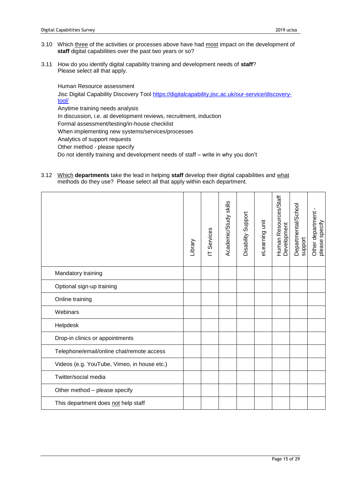- 3.10 Which three of the activities or processes above have had most impact on the development of **staff** digital capabilities over the past two years or so?
- 3.11 How do you identify digital capability training and development needs of **staff**? Please select all that apply.

Human Resource assessment Jisc Digital Capability Discovery Tool [https://digitalcapability.jisc.ac.uk/our-service/discovery](https://digitalcapability.jisc.ac.uk/our-service/discovery-tool/)[tool/](https://digitalcapability.jisc.ac.uk/our-service/discovery-tool/) Anytime training needs analysis In discussion, i.e. at development reviews, recruitment, induction Formal assessment/testing/in-house checklist When implementing new systems/services/processes Analytics of support requests Other method - please specify Do not identify training and development needs of staff – write in why you don't

3.12 Which **departments** take the lead in helping **staff** develop their digital capabilities and what methods do they use? Please select all that apply within each department.

|                                             | Library | IT Services | Academic/Study skills | Disability Support | eLearning unit | Human Resources/Staff<br>Development | Departmental/School<br>support | ٠<br>Other department<br>please specify |
|---------------------------------------------|---------|-------------|-----------------------|--------------------|----------------|--------------------------------------|--------------------------------|-----------------------------------------|
| Mandatory training                          |         |             |                       |                    |                |                                      |                                |                                         |
| Optional sign-up training                   |         |             |                       |                    |                |                                      |                                |                                         |
| Online training                             |         |             |                       |                    |                |                                      |                                |                                         |
| Webinars                                    |         |             |                       |                    |                |                                      |                                |                                         |
| Helpdesk                                    |         |             |                       |                    |                |                                      |                                |                                         |
| Drop-in clinics or appointments             |         |             |                       |                    |                |                                      |                                |                                         |
| Telephone/email/online chat/remote access   |         |             |                       |                    |                |                                      |                                |                                         |
| Videos (e.g. YouTube, Vimeo, in house etc.) |         |             |                       |                    |                |                                      |                                |                                         |
| Twitter/social media                        |         |             |                       |                    |                |                                      |                                |                                         |
| Other method - please specify               |         |             |                       |                    |                |                                      |                                |                                         |
| This department does not help staff         |         |             |                       |                    |                |                                      |                                |                                         |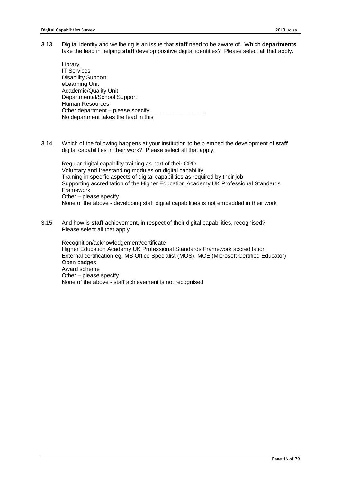3.13 Digital identity and wellbeing is an issue that **staff** need to be aware of. Which **departments** take the lead in helping **staff** develop positive digital identities? Please select all that apply.

Library IT Services Disability Support eLearning Unit Academic/Quality Unit Departmental/School Support Human Resources Other department – please specify No department takes the lead in this

3.14 Which of the following happens at your institution to help embed the development of **staff** digital capabilities in their work? Please select all that apply.

Regular digital capability training as part of their CPD Voluntary and freestanding modules on digital capability Training in specific aspects of digital capabilities as required by their job Supporting accreditation of the Higher Education Academy UK Professional Standards Framework Other – please specify None of the above - developing staff digital capabilities is not embedded in their work

3.15 And how is **staff** achievement, in respect of their digital capabilities, recognised? Please select all that apply.

Recognition/acknowledgement/certificate Higher Education Academy UK Professional Standards Framework accreditation External certification eg. MS Office Specialist (MOS), MCE (Microsoft Certified Educator) Open badges Award scheme Other – please specify None of the above - staff achievement is not recognised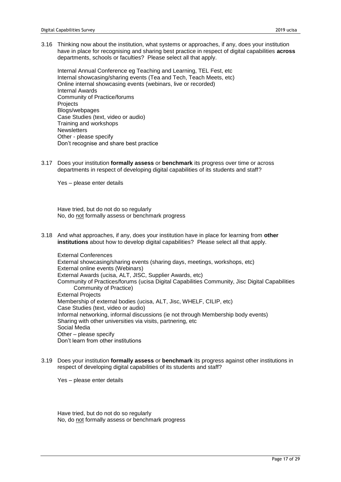3.16 Thinking now about the institution, what systems or approaches, if any, does your institution have in place for recognising and sharing best practice in respect of digital capabilities **across** departments, schools or faculties? Please select all that apply.

Internal Annual Conference eg Teaching and Learning, TEL Fest, etc Internal showcasing/sharing events (Tea and Tech, Teach Meets, etc) Online internal showcasing events (webinars, live or recorded) Internal Awards Community of Practice/forums **Projects** Blogs/webpages Case Studies (text, video or audio) Training and workshops **Newsletters** Other - please specify Don't recognise and share best practice

3.17 Does your institution **formally assess** or **benchmark** its progress over time or across departments in respect of developing digital capabilities of its students and staff?

Yes – please enter details

Have tried, but do not do so regularly No, do not formally assess or benchmark progress

3.18 And what approaches, if any, does your institution have in place for learning from **other institutions** about how to develop digital capabilities? Please select all that apply.

External Conferences External showcasing/sharing events (sharing days, meetings, workshops, etc) External online events (Webinars) External Awards (ucisa, ALT, JISC, Supplier Awards, etc) Community of Practices/forums (ucisa Digital Capabilities Community, Jisc Digital Capabilities Community of Practice) External Projects Membership of external bodies (ucisa, ALT, Jisc, WHELF, CILIP, etc) Case Studies (text, video or audio) Informal networking, informal discussions (ie not through Membership body events) Sharing with other universities via visits, partnering, etc Social Media Other – please specify Don't learn from other institutions

3.19 Does your institution **formally assess** or **benchmark** its progress against other institutions in respect of developing digital capabilities of its students and staff?

Yes – please enter details

Have tried, but do not do so regularly No, do not formally assess or benchmark progress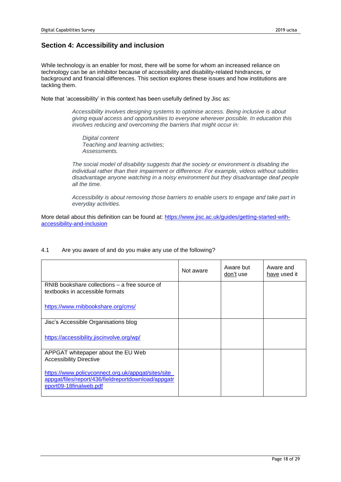# **Section 4: Accessibility and inclusion**

While technology is an enabler for most, there will be some for whom an increased reliance on technology can be an inhibitor because of accessibility and disability-related hindrances, or background and financial differences. This section explores these issues and how institutions are tackling them.

Note that 'accessibility' in this context has been usefully defined by Jisc as:

*Accessibility involves designing systems to optimise access. Being inclusive is about giving equal access and opportunities to everyone wherever possible. In education this involves reducing and overcoming the barriers that might occur in:*

*Digital content Teaching and learning activities; Assessments.*

*The social model of disability suggests that the society or environment is disabling the individual rather than their impairment or difference. For example, videos without subtitles disadvantage anyone watching in a noisy environment but they disadvantage deaf people all the time.*

*Accessibility is about removing those barriers to enable users to engage and take part in everyday activities.*

More detail about this definition can be found at: [https://www.jisc.ac.uk/guides/getting-started-with](https://www.jisc.ac.uk/guides/getting-started-with-accessibility-and-inclusion)[accessibility-and-inclusion](https://www.jisc.ac.uk/guides/getting-started-with-accessibility-and-inclusion) 

| 4.1 |  | Are you aware of and do you make any use of the following? |
|-----|--|------------------------------------------------------------|
|     |  |                                                            |

|                                                                                                                                      | Not aware | Aware but<br>don't use | Aware and<br>have used it |
|--------------------------------------------------------------------------------------------------------------------------------------|-----------|------------------------|---------------------------|
| RNIB bookshare collections – a free source of<br>textbooks in accessible formats                                                     |           |                        |                           |
| https://www.rnibbookshare.org/cms/                                                                                                   |           |                        |                           |
| Jisc's Accessible Organisations blog                                                                                                 |           |                        |                           |
| https://accessibility.jiscinvolve.org/wp/                                                                                            |           |                        |                           |
| APPGAT whitepaper about the EU Web<br><b>Accessibility Directive</b>                                                                 |           |                        |                           |
| https://www.policyconnect.org.uk/appgat/sites/site_<br>appgat/files/report/436/fieldreportdownload/appgatr<br>eport09-18finalweb.pdf |           |                        |                           |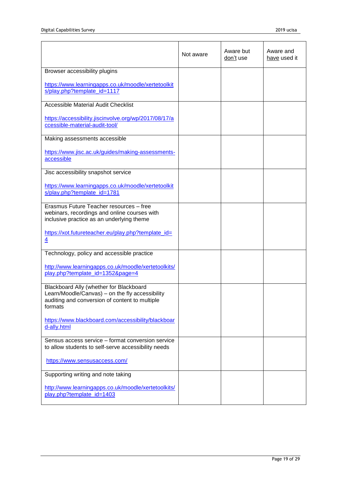|                                                                                                                                                         | Not aware | Aware but<br>don't use | Aware and<br>have used it |
|---------------------------------------------------------------------------------------------------------------------------------------------------------|-----------|------------------------|---------------------------|
| Browser accessibility plugins                                                                                                                           |           |                        |                           |
| https://www.learningapps.co.uk/moodle/xertetoolkit<br>s/play.php?template_id=1117                                                                       |           |                        |                           |
| <b>Accessible Material Audit Checklist</b>                                                                                                              |           |                        |                           |
| https://accessibility.jiscinvolve.org/wp/2017/08/17/a<br>ccessible-material-audit-tool/                                                                 |           |                        |                           |
| Making assessments accessible                                                                                                                           |           |                        |                           |
| https://www.jisc.ac.uk/guides/making-assessments-<br>accessible                                                                                         |           |                        |                           |
| Jisc accessibility snapshot service                                                                                                                     |           |                        |                           |
| https://www.learningapps.co.uk/moodle/xertetoolkit<br>s/play.php?template_id=1781                                                                       |           |                        |                           |
| Erasmus Future Teacher resources - free<br>webinars, recordings and online courses with<br>inclusive practice as an underlying theme                    |           |                        |                           |
| https://xot.futureteacher.eu/play.php?template_id=<br>$\overline{4}$                                                                                    |           |                        |                           |
| Technology, policy and accessible practice                                                                                                              |           |                        |                           |
| http://www.learningapps.co.uk/moodle/xertetoolkits/<br>play.php?template_id=1352&page=4                                                                 |           |                        |                           |
| Blackboard Ally (whether for Blackboard<br>Learn/Moodle/Canvas) - on the fly accessibility<br>auditing and conversion of content to multiple<br>formats |           |                        |                           |
| https://www.blackboard.com/accessibility/blackboar<br>d-ally.html                                                                                       |           |                        |                           |
| Sensus access service - format conversion service<br>to allow students to self-serve accessibility needs                                                |           |                        |                           |
| https://www.sensusaccess.com/                                                                                                                           |           |                        |                           |
| Supporting writing and note taking                                                                                                                      |           |                        |                           |
| http://www.learningapps.co.uk/moodle/xertetoolkits/<br>play.php?template_id=1403                                                                        |           |                        |                           |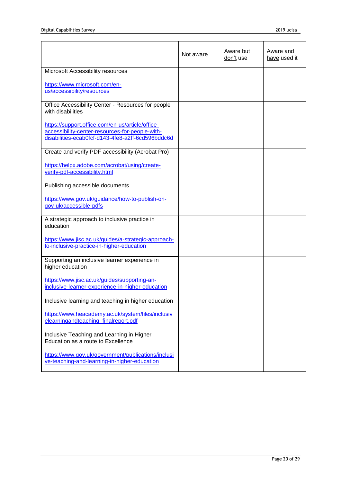|                                                                                                                                                          | Not aware | Aware but<br>don't use | Aware and<br>have used it |
|----------------------------------------------------------------------------------------------------------------------------------------------------------|-----------|------------------------|---------------------------|
| Microsoft Accessibility resources                                                                                                                        |           |                        |                           |
| https://www.microsoft.com/en-<br>us/accessibility/resources                                                                                              |           |                        |                           |
| Office Accessibility Center - Resources for people<br>with disabilities                                                                                  |           |                        |                           |
| https://support.office.com/en-us/article/office-<br>accessibility-center-resources-for-people-with-<br>disabilities-ecab0fcf-d143-4fe8-a2ff-6cd596bddc6d |           |                        |                           |
| Create and verify PDF accessibility (Acrobat Pro)                                                                                                        |           |                        |                           |
| https://helpx.adobe.com/acrobat/using/create-<br>verify-pdf-accessibility.html                                                                           |           |                        |                           |
| Publishing accessible documents                                                                                                                          |           |                        |                           |
| https://www.gov.uk/guidance/how-to-publish-on-<br>gov-uk/accessible-pdfs                                                                                 |           |                        |                           |
| A strategic approach to inclusive practice in<br>education                                                                                               |           |                        |                           |
| https://www.jisc.ac.uk/guides/a-strategic-approach-<br>to-inclusive-practice-in-higher-education                                                         |           |                        |                           |
| Supporting an inclusive learner experience in<br>higher education                                                                                        |           |                        |                           |
| https://www.jisc.ac.uk/guides/supporting-an-<br>inclusive-learner-experience-in-higher-education                                                         |           |                        |                           |
| Inclusive learning and teaching in higher education                                                                                                      |           |                        |                           |
| https://www.heacademy.ac.uk/system/files/inclusiv<br>elearningandteaching_finalreport.pdf                                                                |           |                        |                           |
| Inclusive Teaching and Learning in Higher<br>Education as a route to Excellence                                                                          |           |                        |                           |
| https://www.gov.uk/government/publications/inclusi<br>ve-teaching-and-learning-in-higher-education                                                       |           |                        |                           |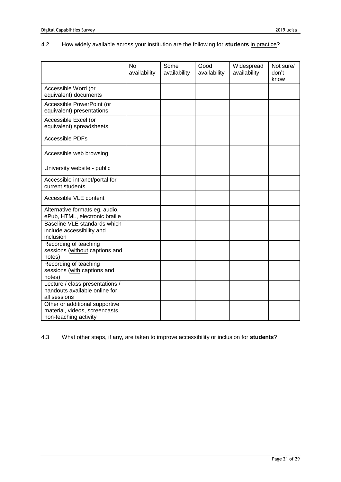# 4.2 How widely available across your institution are the following for **students** in practice?

|                                                                                           | No.<br>availability | Some<br>availability | Good<br>availability | Widespread<br>availability | Not sure/<br>don't<br>know |
|-------------------------------------------------------------------------------------------|---------------------|----------------------|----------------------|----------------------------|----------------------------|
| Accessible Word (or<br>equivalent) documents                                              |                     |                      |                      |                            |                            |
| Accessible PowerPoint (or<br>equivalent) presentations                                    |                     |                      |                      |                            |                            |
| Accessible Excel (or<br>equivalent) spreadsheets                                          |                     |                      |                      |                            |                            |
| <b>Accessible PDFs</b>                                                                    |                     |                      |                      |                            |                            |
| Accessible web browsing                                                                   |                     |                      |                      |                            |                            |
| University website - public                                                               |                     |                      |                      |                            |                            |
| Accessible intranet/portal for<br>current students                                        |                     |                      |                      |                            |                            |
| Accessible VLE content                                                                    |                     |                      |                      |                            |                            |
| Alternative formats eg. audio,<br>ePub, HTML, electronic braille                          |                     |                      |                      |                            |                            |
| Baseline VLE standards which<br>include accessibility and<br>inclusion                    |                     |                      |                      |                            |                            |
| Recording of teaching<br>sessions (without captions and<br>notes)                         |                     |                      |                      |                            |                            |
| Recording of teaching<br>sessions (with captions and<br>notes)                            |                     |                      |                      |                            |                            |
| Lecture / class presentations /<br>handouts available online for<br>all sessions          |                     |                      |                      |                            |                            |
| Other or additional supportive<br>material, videos, screencasts,<br>non-teaching activity |                     |                      |                      |                            |                            |

4.3 What other steps, if any, are taken to improve accessibility or inclusion for **students**?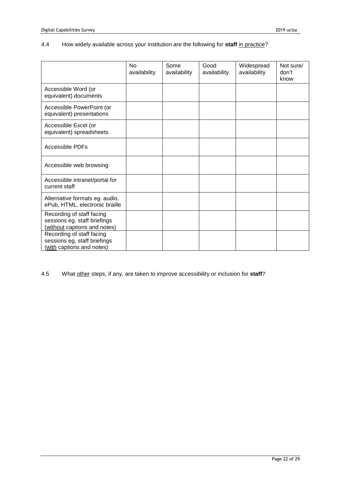### 4.4 How widely available across your institution are the following for **staff** in practice?

|                                                                                           | N <sub>0</sub><br>availability | Some<br>availability | Good<br>availability | Widespread<br>availability | Not sure/<br>don't<br>know |
|-------------------------------------------------------------------------------------------|--------------------------------|----------------------|----------------------|----------------------------|----------------------------|
| Accessible Word (or<br>equivalent) documents                                              |                                |                      |                      |                            |                            |
| Accessible PowerPoint (or<br>equivalent) presentations                                    |                                |                      |                      |                            |                            |
| Accessible Excel (or<br>equivalent) spreadsheets                                          |                                |                      |                      |                            |                            |
| Accessible PDFs                                                                           |                                |                      |                      |                            |                            |
| Accessible web browsing                                                                   |                                |                      |                      |                            |                            |
| Accessible intranet/portal for<br>current staff                                           |                                |                      |                      |                            |                            |
| Alternative formats eg. audio,<br>ePub, HTML, electronic braille                          |                                |                      |                      |                            |                            |
| Recording of staff facing<br>sessions eg. staff briefings<br>(without captions and notes) |                                |                      |                      |                            |                            |
| Recording of staff facing<br>sessions eg. staff briefings<br>with captions and notes)     |                                |                      |                      |                            |                            |

4.5 What other steps, if any, are taken to improve accessibility or inclusion for **staff**?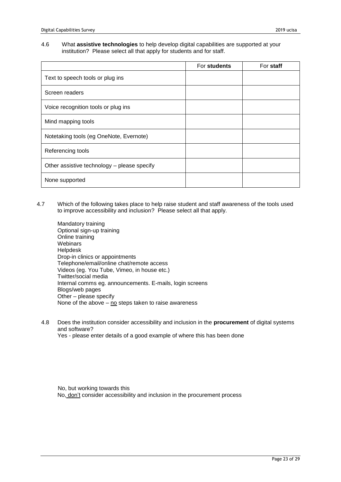#### 4.6 What **assistive technologies** to help develop digital capabilities are supported at your institution? Please select all that apply for students and for staff.

|                                             | For students | For staff |
|---------------------------------------------|--------------|-----------|
| Text to speech tools or plug ins            |              |           |
| Screen readers                              |              |           |
| Voice recognition tools or plug ins         |              |           |
| Mind mapping tools                          |              |           |
| Notetaking tools (eg OneNote, Evernote)     |              |           |
| Referencing tools                           |              |           |
| Other assistive technology - please specify |              |           |
| None supported                              |              |           |

- 4.7 Which of the following takes place to help raise student and staff awareness of the tools used to improve accessibility and inclusion? Please select all that apply.
	- Mandatory training Optional sign-up training Online training **Webinars** Helpdesk Drop-in clinics or appointments Telephone/email/online chat/remote access Videos (eg. You Tube, Vimeo, in house etc.) Twitter/social media Internal comms eg. announcements. E-mails, login screens Blogs/web pages Other – please specify None of the above  $-$  no steps taken to raise awareness
	- 4.8 Does the institution consider accessibility and inclusion in the **procurement** of digital systems and software?

Yes - please enter details of a good example of where this has been done

No, but working towards this No, don't consider accessibility and inclusion in the procurement process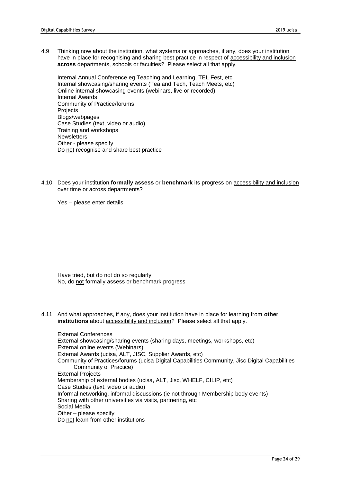4.9 Thinking now about the institution, what systems or approaches, if any, does your institution have in place for recognising and sharing best practice in respect of accessibility and inclusion **across** departments, schools or faculties? Please select all that apply.

Internal Annual Conference eg Teaching and Learning, TEL Fest, etc Internal showcasing/sharing events (Tea and Tech, Teach Meets, etc) Online internal showcasing events (webinars, live or recorded) Internal Awards Community of Practice/forums **Projects** Blogs/webpages Case Studies (text, video or audio) Training and workshops **Newsletters** Other - please specify Do not recognise and share best practice

4.10 Does your institution **formally assess** or **benchmark** its progress on accessibility and inclusion over time or across departments?

Yes – please enter details

Have tried, but do not do so regularly No, do not formally assess or benchmark progress

4.11 And what approaches, if any, does your institution have in place for learning from **other institutions** about accessibility and inclusion? Please select all that apply.

External Conferences External showcasing/sharing events (sharing days, meetings, workshops, etc) External online events (Webinars) External Awards (ucisa, ALT, JISC, Supplier Awards, etc) Community of Practices/forums (ucisa Digital Capabilities Community, Jisc Digital Capabilities Community of Practice) External Projects Membership of external bodies (ucisa, ALT, Jisc, WHELF, CILIP, etc) Case Studies (text, video or audio) Informal networking, informal discussions (ie not through Membership body events) Sharing with other universities via visits, partnering, etc Social Media Other – please specify Do not learn from other institutions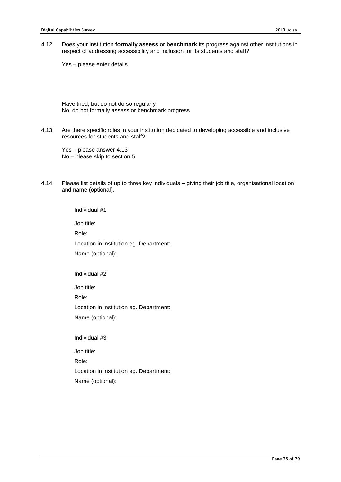4.12 Does your institution **formally assess** or **benchmark** its progress against other institutions in respect of addressing accessibility and inclusion for its students and staff?

Yes – please enter details

Have tried, but do not do so regularly No, do not formally assess or benchmark progress

4.13 Are there specific roles in your institution dedicated to developing accessible and inclusive resources for students and staff?

Yes – please answer 4.13 No – please skip to section 5

4.14 Please list details of up to three key individuals – giving their job title, organisational location and name (optional).

Individual #1

Job title:

Role:

Location in institution eg. Department:

Name (optional):

Individual #2

Job title:

Role:

Location in institution eg. Department:

Name (optional):

Individual #3

Job title:

Role:

Location in institution eg. Department:

Name (optional):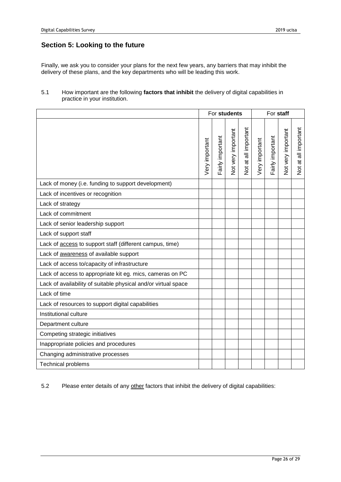## **Section 5: Looking to the future**

Finally, we ask you to consider your plans for the next few years, any barriers that may inhibit the delivery of these plans, and the key departments who will be leading this work.

### 5.1 How important are the following **factors that inhibit** the delivery of digital capabilities in practice in your institution.

|                                                                |                | For students     |                    |                      | For staff      |                  |                    |                      |
|----------------------------------------------------------------|----------------|------------------|--------------------|----------------------|----------------|------------------|--------------------|----------------------|
|                                                                | Very important | Fairly important | Not very important | Not at all important | Very important | Fairly important | Not very important | Not at all important |
| Lack of money (i.e. funding to support development)            |                |                  |                    |                      |                |                  |                    |                      |
| Lack of incentives or recognition                              |                |                  |                    |                      |                |                  |                    |                      |
| Lack of strategy                                               |                |                  |                    |                      |                |                  |                    |                      |
| Lack of commitment                                             |                |                  |                    |                      |                |                  |                    |                      |
| Lack of senior leadership support                              |                |                  |                    |                      |                |                  |                    |                      |
| Lack of support staff                                          |                |                  |                    |                      |                |                  |                    |                      |
| Lack of access to support staff (different campus, time)       |                |                  |                    |                      |                |                  |                    |                      |
| Lack of awareness of available support                         |                |                  |                    |                      |                |                  |                    |                      |
| Lack of access to/capacity of infrastructure                   |                |                  |                    |                      |                |                  |                    |                      |
| Lack of access to appropriate kit eg. mics, cameras on PC      |                |                  |                    |                      |                |                  |                    |                      |
| Lack of availability of suitable physical and/or virtual space |                |                  |                    |                      |                |                  |                    |                      |
| Lack of time                                                   |                |                  |                    |                      |                |                  |                    |                      |
| Lack of resources to support digital capabilities              |                |                  |                    |                      |                |                  |                    |                      |
| Institutional culture                                          |                |                  |                    |                      |                |                  |                    |                      |
| Department culture                                             |                |                  |                    |                      |                |                  |                    |                      |
| Competing strategic initiatives                                |                |                  |                    |                      |                |                  |                    |                      |
| Inappropriate policies and procedures                          |                |                  |                    |                      |                |                  |                    |                      |
| Changing administrative processes                              |                |                  |                    |                      |                |                  |                    |                      |
| <b>Technical problems</b>                                      |                |                  |                    |                      |                |                  |                    |                      |

5.2 Please enter details of any other factors that inhibit the delivery of digital capabilities: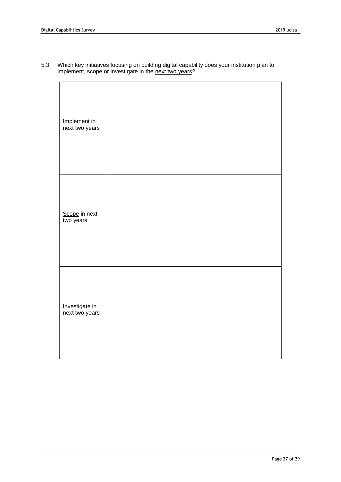5.3 Which key initiatives focusing on building digital capability does your institution plan to implement, scope or investigate in the next two years?

| Implement in<br>next two years   |  |
|----------------------------------|--|
| Scope in next<br>two years       |  |
| Investigate in<br>next two years |  |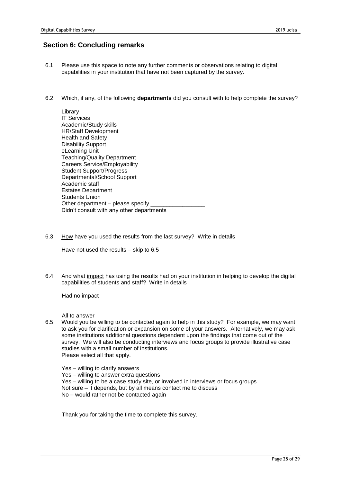### **Section 6: Concluding remarks**

- 6.1 Please use this space to note any further comments or observations relating to digital capabilities in your institution that have not been captured by the survey.
- 6.2 Which, if any, of the following **departments** did you consult with to help complete the survey?

Library IT Services Academic/Study skills HR/Staff Development Health and Safety Disability Support eLearning Unit Teaching/Quality Department Careers Service/Employability Student Support/Progress Departmental/School Support Academic staff Estates Department Students Union Other department  $-$  please specify Didn't consult with any other departments

6.3 How have you used the results from the last survey? Write in details

Have not used the results – skip to 6.5

6.4 And what impact has using the results had on your institution in helping to develop the digital capabilities of students and staff? Write in details

Had no impact

All to answer

6.5 Would you be willing to be contacted again to help in this study? For example, we may want to ask you for clarification or expansion on some of your answers. Alternatively, we may ask some institutions additional questions dependent upon the findings that come out of the survey. We will also be conducting interviews and focus groups to provide illustrative case studies with a small number of institutions. Please select all that apply.

Yes – willing to clarify answers Yes – willing to answer extra questions Yes – willing to be a case study site, or involved in interviews or focus groups Not sure – it depends, but by all means contact me to discuss No – would rather not be contacted again

Thank you for taking the time to complete this survey.